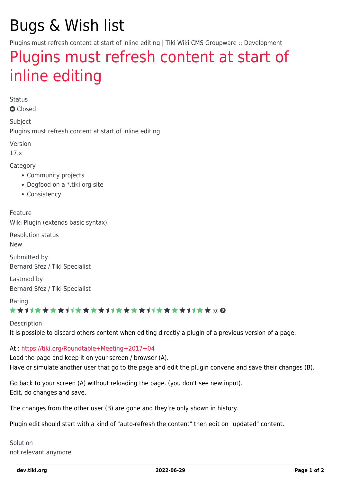# Bugs & Wish list

Plugins must refresh content at start of inline editing | Tiki Wiki CMS Groupware :: Development

## [Plugins must refresh content at start of](https://dev.tiki.org/item6324-Plugins-must-refresh-content-at-start-of-inline-editing) [inline editing](https://dev.tiki.org/item6324-Plugins-must-refresh-content-at-start-of-inline-editing)

Status

**a** Closed

Subject Plugins must refresh content at start of inline editing

Version

17.x

Category

- Community projects
- Dogfood on a \*.tiki.org site
- Consistency

Feature Wiki Plugin (extends basic syntax)

Resolution status

New

Submitted by Bernard Sfez / Tiki Specialist

Lastmod by Bernard Sfez / Tiki Specialist

Rating

#### \*\*\*\*\*\*\*\*\*\*\*\*\*\*\*\*\*\*\*\*\*\*\*\*\*\*\*\*\*\*

Description

It is possible to discard others content when editing directly a plugin of a previous version of a page.

#### At :<https://tiki.org/Roundtable+Meeting+2017+04>

Load the page and keep it on your screen / browser (A). Have or simulate another user that go to the page and edit the plugin convene and save their changes (B).

Go back to your screen (A) without reloading the page. (you don't see new input). Edit, do changes and save.

The changes from the other user (B) are gone and they're only shown in history.

Plugin edit should start with a kind of "auto-refresh the content" then edit on "updated" content.

Solution not relevant anymore